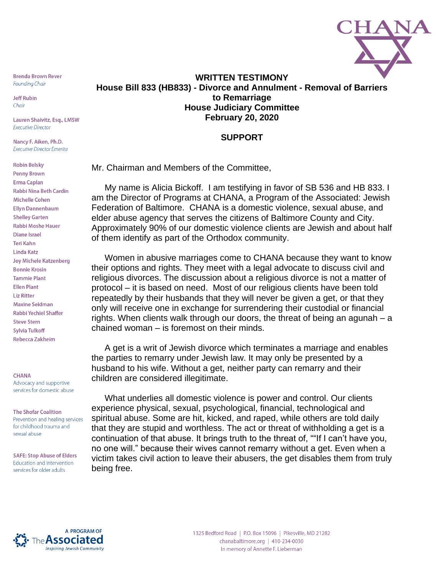

**Brenda Brown Rever Founding Chair** 

**Jeff Rubin** Chair

Lauren Shaivitz, Esq., LMSW **Executive Director** 

Nancy F. Aiken, Ph.D. **Executive Director Emerita** 

**Robin Belsky Penny Brown Erma Caplan Rabbi Nina Beth Cardin Michelle Cohen Ellyn Dannenbaum Shelley Garten Rabbi Moshe Hauer** Diane Israel **Teri Kahn Linda Katz Joy Michele Katzenberg Bonnie Krosin Tammie Plant Ellen Plant Liz Ritter Maxine Seidman Rabbi Yechiel Shaffer Steve Stern Sylvia Tulkoff Rebecca Zakheim** 

## **CHANA**

Advocacy and supportive services for domestic abuse

## **The Shofar Coalition** Prevention and healing services for childhood trauma and

sexual abuse

**SAFE: Stop Abuse of Elders** Education and intervention services for older adults

## **WRITTEN TESTIMONY House Bill 833 (HB833) - Divorce and Annulment - Removal of Barriers to Remarriage House Judiciary Committee February 20, 2020**

## **SUPPORT**

Mr. Chairman and Members of the Committee,

My name is Alicia Bickoff. I am testifying in favor of SB 536 and HB 833. I am the Director of Programs at CHANA, a Program of the Associated: Jewish Federation of Baltimore. CHANA is a domestic violence, sexual abuse, and elder abuse agency that serves the citizens of Baltimore County and City. Approximately 90% of our domestic violence clients are Jewish and about half of them identify as part of the Orthodox community.

Women in abusive marriages come to CHANA because they want to know their options and rights. They meet with a legal advocate to discuss civil and religious divorces. The discussion about a religious divorce is not a matter of protocol – it is based on need. Most of our religious clients have been told repeatedly by their husbands that they will never be given a get, or that they only will receive one in exchange for surrendering their custodial or financial rights. When clients walk through our doors, the threat of being an agunah – a chained woman – is foremost on their minds.

A get is a writ of Jewish divorce which terminates a marriage and enables the parties to remarry under Jewish law. It may only be presented by a husband to his wife. Without a get, neither party can remarry and their children are considered illegitimate.

What underlies all domestic violence is power and control. Our clients experience physical, sexual, psychological, financial, technological and spiritual abuse. Some are hit, kicked, and raped, while others are told daily that they are stupid and worthless. The act or threat of withholding a get is a continuation of that abuse. It brings truth to the threat of, ""If I can't have you, no one will." because their wives cannot remarry without a get. Even when a victim takes civil action to leave their abusers, the get disables them from truly being free.